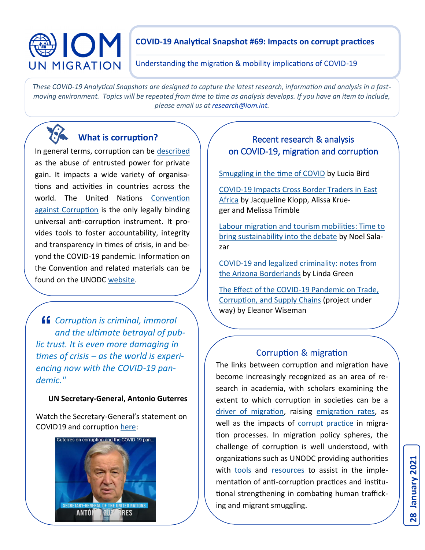# OM **UN MIGRATION**

### **COVID-19 Analytical Snapshot #69: Impacts on corrupt practices**

Understanding the migration & mobility implications of COVID-19

*These COVID-19 Analytical Snapshots are designed to capture the latest research, information and analysis in a fastmoving environment. Topics will be repeated from time to time as analysis develops. If you have an item to include, please email us at research@iom.int.*

# **What is corruption?**

In general terms, corruption can be [described](https://www.transparency.org/en/what-is-corruption) as the abuse of entrusted power for private gain. It impacts a wide variety of organisations and activities in countries across the world. The United Nations [Convention](https://www.unodc.org/documents/treaties/UNCAC/Publications/Convention/08-50026_E.pdf)  [against Corruption](https://www.unodc.org/documents/treaties/UNCAC/Publications/Convention/08-50026_E.pdf) is the only legally binding universal anti-corruption instrument. It provides tools to foster accountability, integrity and transparency in times of crisis, in and beyond the COVID-19 pandemic. Information on the Convention and related materials can be found on the UNODC [website.](https://www.unodc.org/unodc/en/corruption/covid19.html)

*Corruption is criminal, immoral and the ultimate betrayal of public trust. It is even more damaging in times of crisis – as the world is experiencing now with the COVID-19 pandemic."* 

#### **UN Secretary-General, Antonio Guterres**

Watch the Secretary-General's statement on COVID19 and corruption [here:](https://www.unodc.org/unodc/en/corruption/covid19.html)



## Recent research & analysis on COVID-19, migration and corruption

[Smuggling in the time of COVID](https://globalinitiative.net/wp-content/uploads/2020/04/GIATOC-Policy-Brief-003-Smuggling-COVID-28Apr0930-proof-4.pdf) by Lucia Bird

COVID-[19 Impacts Cross Border Traders in East](https://ace.globalintegrity.org/smallscaletraders/)  [Africa](https://ace.globalintegrity.org/smallscaletraders/) by Jacqueline Klopp, Alissa Krueger and Melissa Trimble

[Labour migration and tourism mobilities: Time to](https://www.tandfonline.com/doi/abs/10.1080/14616688.2020.1801827)  [bring sustainability into the debate](https://www.tandfonline.com/doi/abs/10.1080/14616688.2020.1801827) by Noel Salazar

COVID-[19 and legalized criminality: notes from](https://link.springer.com/article/10.1007/s10624-020-09610-5)  [the Arizona Borderlands](https://link.springer.com/article/10.1007/s10624-020-09610-5) by Linda Green

The Effect of the COVID-[19 Pandemic on Trade,](https://www.poverty-action.org/recovr-study/effect-covid-19-pandemic-trade-corruption-and-supply-chains)  [Corruption, and Supply Chains](https://www.poverty-action.org/recovr-study/effect-covid-19-pandemic-trade-corruption-and-supply-chains) (project under way) by Eleanor Wiseman

#### Corruption & migration

The links between corruption and migration have become increasingly recognized as an area of research in academia, with scholars examining the extent to which corruption in societies can be a [driver of migration,](https://migration.unu.edu/publications/reports/a-study-on-the-link-between-corruption-and-the-causes-of-migration-and-forced-displacement.html) raising [emigration rates,](https://wol.iza.org/articles/does-corruption-promote-emigration/long) as well as the impacts of [corrupt practice](https://nvvn.nl/corruption-and-migration-what-is-the-connection/) in migration processes. In migration policy spheres, the challenge of corruption is well understood, with organizations such as UNODC providing authorities with [tools](https://www.unodc.org/unodc/en/human-trafficking/index.html?ref=menuside) and [resources](https://www.unodc.org/documents/human-trafficking/2013/The_Role_Of_Corruption_in_the_Smuggling_of_Migrants_Issue_Paper_UNODC_2013.pdf) to assist in the implementation of anti-corruption practices and institutional strengthening in combating human trafficking and migrant smuggling.